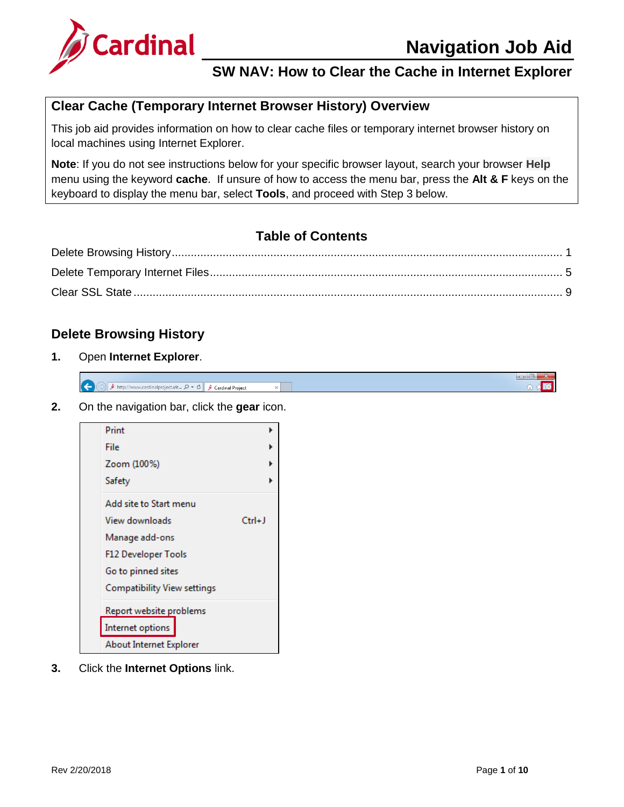

#### **Clear Cache (Temporary Internet Browser History) Overview**

This job aid provides information on how to clear cache files or temporary internet browser history on local machines using Internet Explorer.

**Note**: If you do not see instructions below for your specific browser layout, search your browser **Help** menu using the keyword **cache**. If unsure of how to access the menu bar, press the **Alt & F** keys on the keyboard to display the menu bar, select **Tools**, and proceed with Step 3 below.

# **Table of Contents**

#### <span id="page-0-0"></span>**Delete Browsing History**

**1.** Open **Internet Explorer**.

|                          |                                                  |                  |  | __       |
|--------------------------|--------------------------------------------------|------------------|--|----------|
| $\mathbf{z}$<br><b>A</b> | ect.vir… ρ – c'∥<br>http:<br>ardınalnrı:<br>card | Cardinal Project |  | . .<br>. |

**2.** On the navigation bar, click the **gear** icon.



**3.** Click the **Internet Options** link.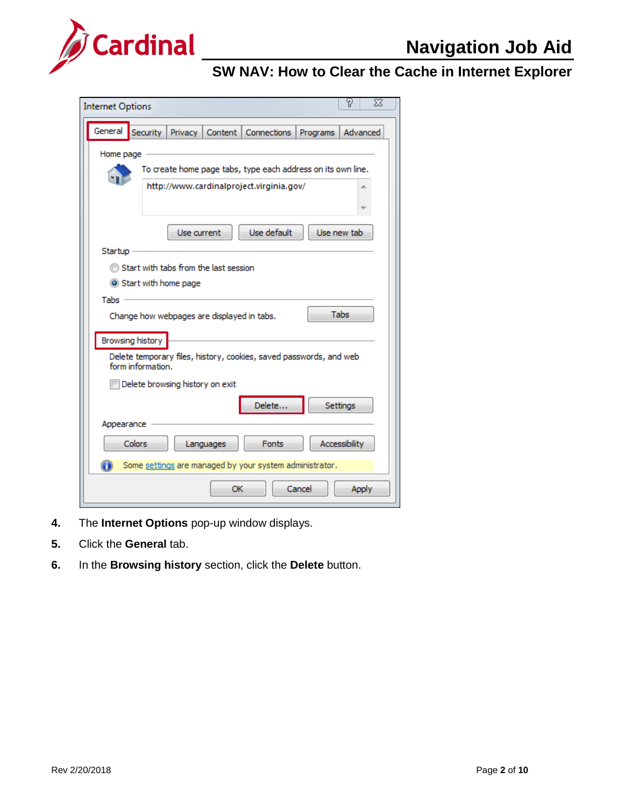

| <b>Internet Options</b>                                                                 |                                                           |             |                                       |                                                              |          | P               | X |
|-----------------------------------------------------------------------------------------|-----------------------------------------------------------|-------------|---------------------------------------|--------------------------------------------------------------|----------|-----------------|---|
|                                                                                         |                                                           |             |                                       |                                                              |          |                 |   |
| General                                                                                 | Security                                                  | Privacy     |                                       | Content   Connections                                        | Programs | Advanced        |   |
| Home page                                                                               |                                                           |             |                                       |                                                              |          |                 |   |
|                                                                                         |                                                           |             |                                       | To create home page tabs, type each address on its own line. |          |                 |   |
|                                                                                         |                                                           |             |                                       | http://www.cardinalproject.virginia.gov/                     |          |                 |   |
|                                                                                         |                                                           |             |                                       |                                                              |          |                 |   |
|                                                                                         |                                                           |             |                                       |                                                              |          |                 |   |
|                                                                                         |                                                           | Use current |                                       | Use default                                                  |          | Use new tab     |   |
|                                                                                         |                                                           |             |                                       |                                                              |          |                 |   |
| Startup                                                                                 |                                                           |             |                                       |                                                              |          |                 |   |
|                                                                                         |                                                           |             | Start with tabs from the last session |                                                              |          |                 |   |
|                                                                                         | Start with home page                                      |             |                                       |                                                              |          |                 |   |
| Tabs :                                                                                  |                                                           |             |                                       |                                                              |          |                 |   |
|                                                                                         | <b>Tabs</b><br>Change how webpages are displayed in tabs. |             |                                       |                                                              |          |                 |   |
|                                                                                         |                                                           |             |                                       |                                                              |          |                 |   |
| Browsing history                                                                        |                                                           |             |                                       |                                                              |          |                 |   |
| Delete temporary files, history, cookies, saved passwords, and web<br>form information. |                                                           |             |                                       |                                                              |          |                 |   |
|                                                                                         |                                                           |             |                                       |                                                              |          |                 |   |
|                                                                                         | Delete browsing history on exit                           |             |                                       |                                                              |          |                 |   |
|                                                                                         |                                                           |             |                                       | Delete                                                       |          | <b>Settings</b> |   |
| Appearance                                                                              |                                                           |             |                                       |                                                              |          |                 |   |
|                                                                                         |                                                           |             |                                       |                                                              |          |                 |   |
|                                                                                         | <b>Colors</b>                                             |             | Languages                             | <b>Fonts</b>                                                 |          | Accessibility   |   |
|                                                                                         |                                                           |             |                                       | Some settings are managed by your system administrator.      |          |                 |   |
|                                                                                         |                                                           |             | OK                                    |                                                              | Cancel   | <b>Apply</b>    |   |

- **4.** The **Internet Options** pop-up window displays.
- **5.** Click the **General** tab.
- **6.** In the **Browsing history** section, click the **Delete** button.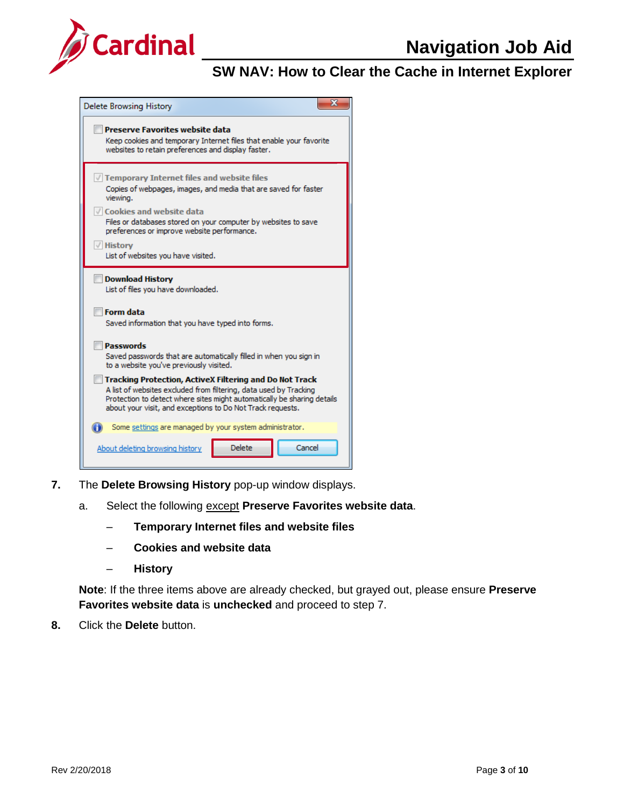



- **7.** The **Delete Browsing History** pop-up window displays.
	- a. Select the following except **Preserve Favorites website data**.
		- ‒ **Temporary Internet files and website files**
		- ‒ **Cookies and website data**
		- ‒ **History**

**Note**: If the three items above are already checked, but grayed out, please ensure **Preserve Favorites website data** is **unchecked** and proceed to step 7.

**8.** Click the **Delete** button.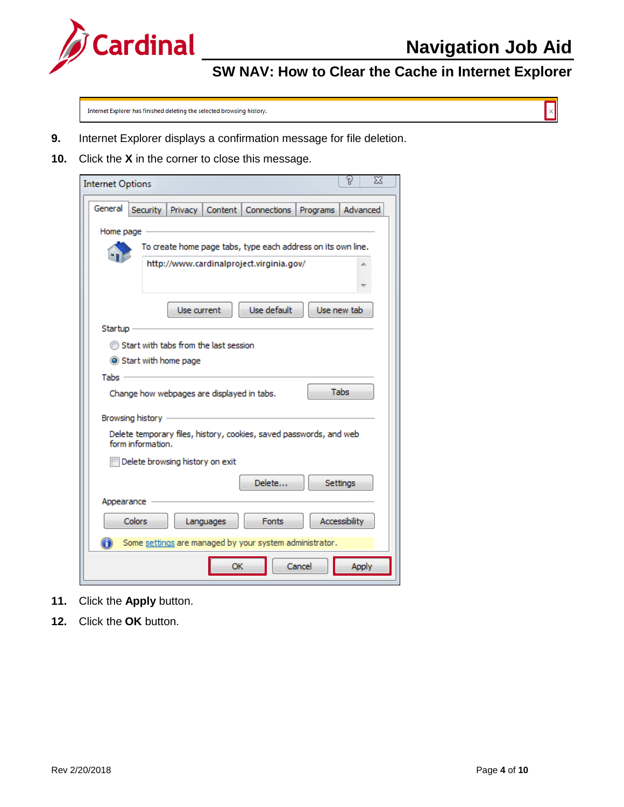

 $\vert \times \vert$ 

# **SW NAV: How to Clear the Cache in Internet Explorer**

Internet Explorer has finished deleting the selected browsing history.

- **9.** Internet Explorer displays a confirmation message for file deletion.
- **10.** Click the **X** in the corner to close this message.

| P<br>X<br><b>Internet Options</b>                                                             |
|-----------------------------------------------------------------------------------------------|
| General<br>Content  <br>Advanced<br>Security  <br>Privacy  <br><b>Connections</b><br>Programs |
| Home page                                                                                     |
| To create home page tabs, type each address on its own line.                                  |
| http://www.cardinalproject.virginia.gov/                                                      |
|                                                                                               |
| Use default<br>Use current<br>Use new tab                                                     |
| Startup                                                                                       |
| Start with tabs from the last session                                                         |
| Start with home page                                                                          |
| Tabs -                                                                                        |
| <b>Tabs</b><br>Change how webpages are displayed in tabs.                                     |
| Browsing history                                                                              |
| Delete temporary files, history, cookies, saved passwords, and web<br>form information.       |
| Delete browsing history on exit                                                               |
| Delete<br><b>Settings</b>                                                                     |
| Appearance                                                                                    |
| <b>Colors</b><br><b>Fonts</b><br>Accessibility<br>Languages                                   |
| Some settings are managed by your system administrator.                                       |
| OK<br>Cancel<br>Apply                                                                         |

- **11.** Click the **Apply** button.
- **12.** Click the **OK** button.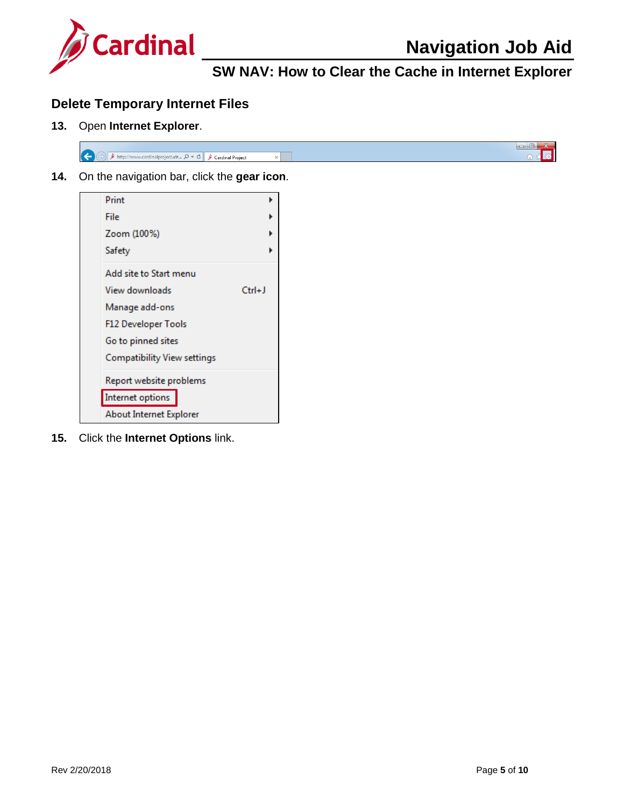

#### <span id="page-4-0"></span>**Delete Temporary Internet Files**

**13.** Open **Internet Explorer**.



**14.** On the navigation bar, click the **gear icon**.



**15.** Click the **Internet Options** link.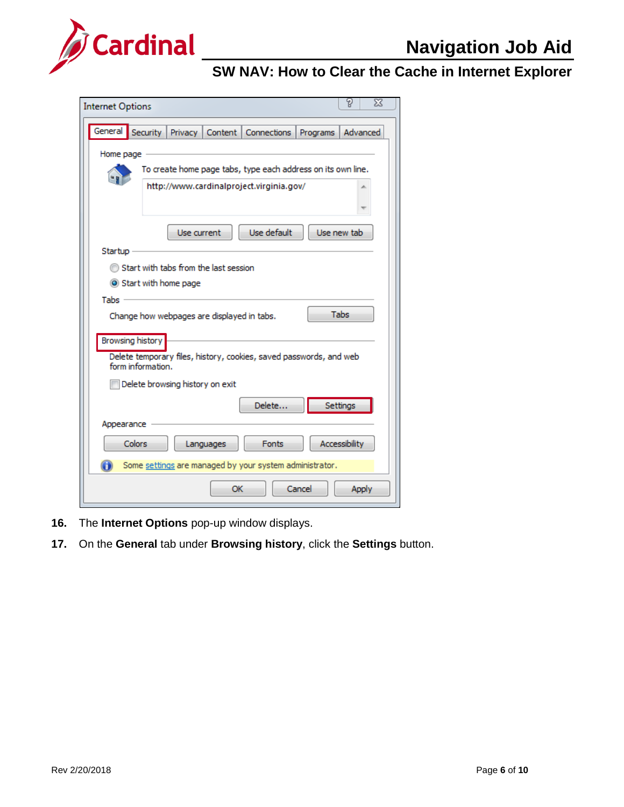

| <b>Internet Options</b> |          |                                 |                                            |                                                                                                          |          | g<br>23       |
|-------------------------|----------|---------------------------------|--------------------------------------------|----------------------------------------------------------------------------------------------------------|----------|---------------|
| General                 | Security | Privacy                         |                                            | Content   Connections                                                                                    | Programs | Advanced      |
| Home page               |          |                                 |                                            | To create home page tabs, type each address on its own line.<br>http://www.cardinalproject.virginia.gov/ |          |               |
| Startup                 |          | Use current                     |                                            | Use default                                                                                              |          | Use new tab   |
| Tabs :                  |          | Start with home page            | Start with tabs from the last session      |                                                                                                          |          |               |
| Browsing history        |          |                                 | Change how webpages are displayed in tabs. |                                                                                                          |          | <b>Tabs</b>   |
| form information.       |          | Delete browsing history on exit |                                            | Delete temporary files, history, cookies, saved passwords, and web                                       |          |               |
| Appearance              |          |                                 |                                            | Delete                                                                                                   |          | Settings      |
| <b>Colors</b>           |          |                                 | Languages                                  | <b>Fonts</b><br>Some settings are managed by your system administrator.                                  |          | Accessibility |
|                         |          |                                 | OK                                         |                                                                                                          | Cancel   | <b>Apply</b>  |

- **16.** The **Internet Options** pop-up window displays.
- **17.** On the **General** tab under **Browsing history**, click the **Settings** button.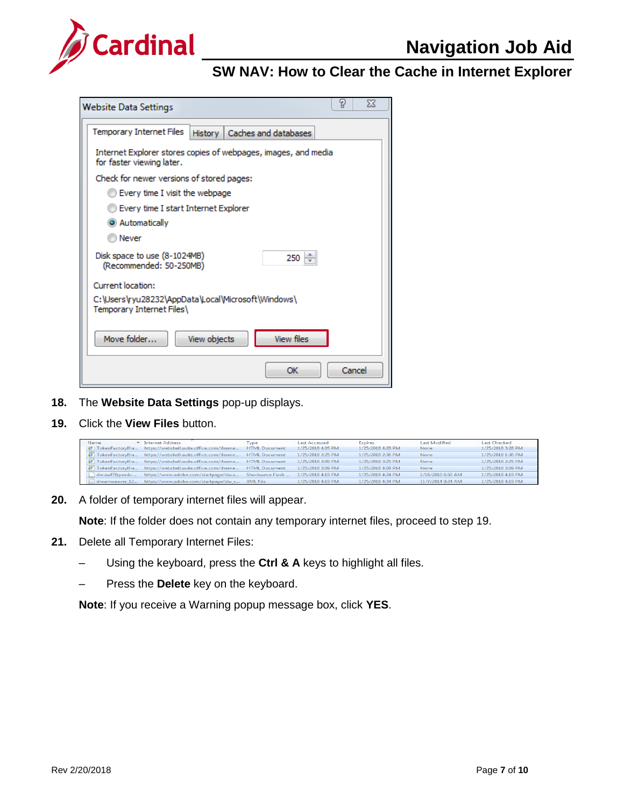

| <b>Website Data Settings</b>                                                                | P | X      |  |  |  |
|---------------------------------------------------------------------------------------------|---|--------|--|--|--|
| <b>Temporary Internet Files</b><br>History   Caches and databases                           |   |        |  |  |  |
| Internet Explorer stores copies of webpages, images, and media<br>for faster viewing later. |   |        |  |  |  |
| Check for newer versions of stored pages:                                                   |   |        |  |  |  |
| Every time I visit the webpage                                                              |   |        |  |  |  |
| Every time I start Internet Explorer                                                        |   |        |  |  |  |
| C Automatically                                                                             |   |        |  |  |  |
| Never                                                                                       |   |        |  |  |  |
| Disk space to use (8-1024MB)<br>$250 \div$<br>(Recommended: 50-250MB)                       |   |        |  |  |  |
| Current location:                                                                           |   |        |  |  |  |
| C:\Users\ryu28232\AppData\Local\Microsoft\Windows\<br>Temporary Internet Files              |   |        |  |  |  |
| <b>View files</b><br>Move folder<br>View objects                                            |   |        |  |  |  |
| OK                                                                                          |   | Cancel |  |  |  |

- **18.** The **Website Data Settings** pop-up displays.
- **19.** Click the **View Files** button.

| Name                               | Thernet Address                               | Tvpe                 | <b>Last Accessed</b> | <b>Expires</b>    | <b>Last Modified</b> | <b>Last Checked</b> |
|------------------------------------|-----------------------------------------------|----------------------|----------------------|-------------------|----------------------|---------------------|
| TokenFactoryIfra<br>e <sub>1</sub> | https://webshell.suite.office.com/iframe      | <b>HTML Document</b> | 1/25/2018 4:05 PM    | 1/25/2018 4:28 PM | <b>None</b>          | 1/25/2018 3:28 PM   |
| TokenFactoryIfra                   | https://webshell.suite.office.com/iframe      | <b>HTML</b> Document | 1/25/2018 2:25 PM    | 1/25/2018 2:36 PM | None                 | 1/25/2018 1:36 PM   |
| TokenFactoryIfra                   | https://webshell.suite.office.com/iframe      | <b>HTML Document</b> | 1/25/2018 3:09 PM    | 1/25/2018 3:25 PM | None                 | 1/25/2018 2:25 PM   |
| <b>B</b> TokenFactoryIfra          | https://webshell.suite.office.com/iframe      | <b>HTML Document</b> | 1/25/2018 3:09 PM    | 1/25/2018 4:09 PM | None                 | 1/25/2018 3:09 PM   |
| dw.swf?∏=                          | https://www.adobe.com/startpage/dw.s          | Shockwave Flash      | 1/25/2018 4:19 PM    | 1/25/2018 4:24 PM | 1/18/2010 6:50 AM    | 1/25/2018 4:19 PM   |
| dreamweaver 12                     | https://www.adobe.com/startpage/dw_c XML File |                      | 1/25/2018 4:19 PM    | 1/25/2018 4:34 PM | 11/7/2014 9:24 AM    | 1/25/2018 4:19 PM   |

**20.** A folder of temporary internet files will appear.

**Note**: If the folder does not contain any temporary internet files, proceed to step 19.

- **21.** Delete all Temporary Internet Files:
	- ‒ Using the keyboard, press the **Ctrl & A** keys to highlight all files.
	- ‒ Press the **Delete** key on the keyboard.

**Note**: If you receive a Warning popup message box, click **YES**.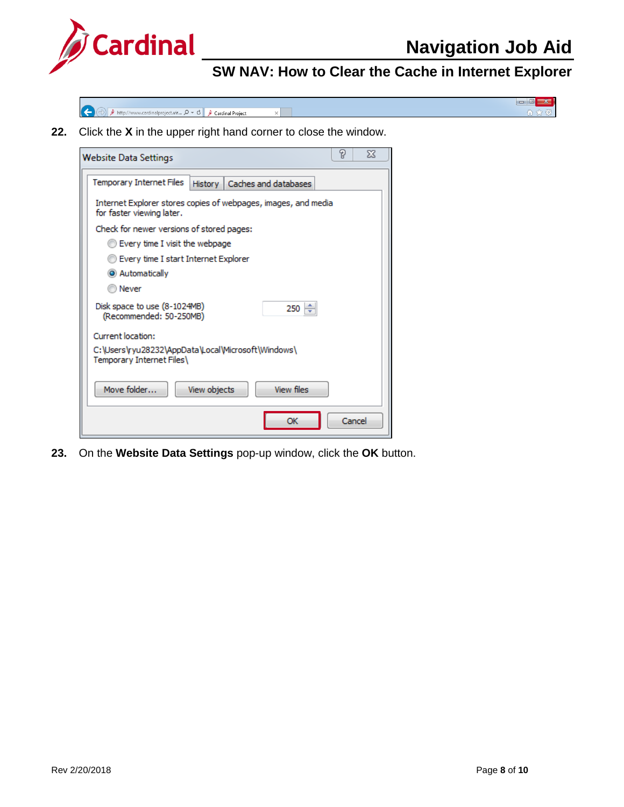

 $-$ 

合金

# **SW NAV: How to Clear the Cache in Internet Explorer**

 $\Rightarrow$  Ahttp://www.cardinalproject.vir...  $\mathcal{Q} \times \mathcal{C}$  A Cardinal Project  $\overline{\mathbf{x}}$ **E** 

**22.** Click the **X** in the upper right hand corner to close the window.

| P<br>X<br><b>Website Data Settings</b>                                                      |
|---------------------------------------------------------------------------------------------|
| Temporary Internet Files<br>Caches and databases<br>History                                 |
| Internet Explorer stores copies of webpages, images, and media<br>for faster viewing later. |
| Check for newer versions of stored pages:                                                   |
| C Every time I visit the webpage                                                            |
| Every time I start Internet Explorer                                                        |
| C Automatically                                                                             |
| Never                                                                                       |
| Disk space to use (8-1024MB)<br>250<br>(Recommended: 50-250MB)                              |
| Current location:                                                                           |
| C:\Users\ryu28232\AppData\Local\Microsoft\Windows\<br>Temporary Internet Files\             |
| Move folder<br><b>View files</b><br>View objects                                            |
| Cancel<br>ОК                                                                                |

**23.** On the **Website Data Settings** pop-up window, click the **OK** button.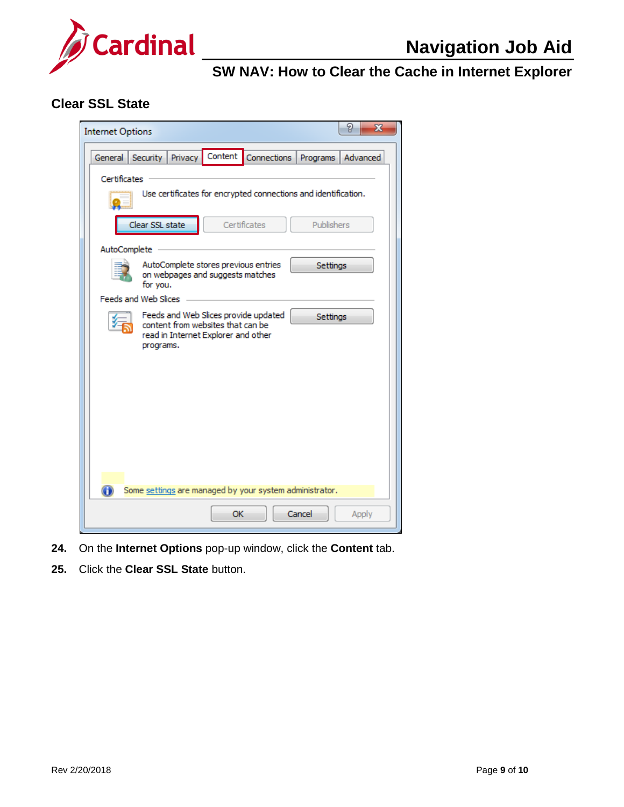

#### <span id="page-8-0"></span>**Clear SSL State**

| P<br>х<br><b>Internet Options</b>                                                                                                         |
|-------------------------------------------------------------------------------------------------------------------------------------------|
| Security Privacy Content<br>Connections<br>General<br>Advanced<br>Programs                                                                |
| Certificates<br>Use certificates for encrypted connections and identification.                                                            |
| Certificates<br>Clear SSL state<br>Publishers                                                                                             |
| AutoComplete                                                                                                                              |
| AutoComplete stores previous entries<br>Settings<br>on webpages and suggests matches<br>for you.                                          |
| <b>Feeds and Web Slices</b>                                                                                                               |
| Feeds and Web Slices provide updated<br>Settings<br>content from websites that can be<br>read in Internet Explorer and other<br>programs. |
| Some settings are managed by your system administrator.                                                                                   |
| OK<br>Cancel<br>Apply                                                                                                                     |

- **24.** On the **Internet Options** pop-up window, click the **Content** tab.
- **25.** Click the **Clear SSL State** button.